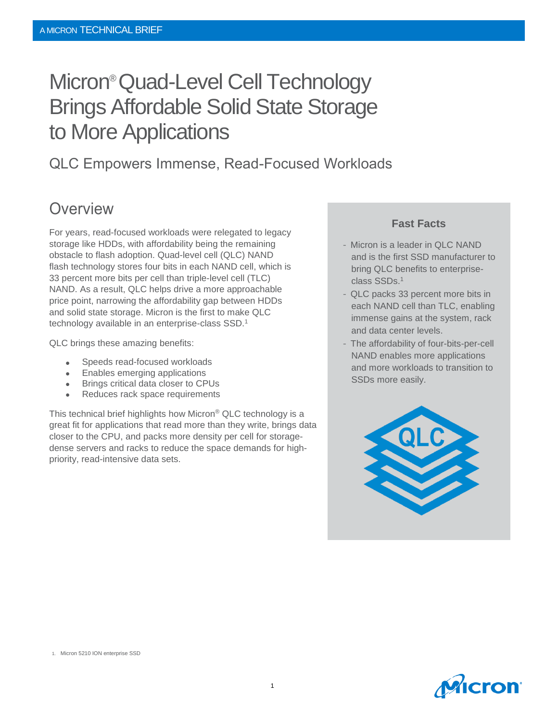# Micron®Quad-Level Cell Technology Brings Affordable Solid State Storage to More Applications

### QLC Empowers Immense, Read-Focused Workloads

### **Overview**

For years, read-focused workloads were relegated to legacy storage like HDDs, with affordability being the remaining obstacle to flash adoption. Quad-level cell (QLC) NAND flash technology stores four bits in each NAND cell, which is 33 percent more bits per cell than triple-level cell (TLC) NAND. As a result, QLC helps drive a more approachable price point, narrowing the affordability gap between HDDs and solid state storage. Micron is the first to make QLC technology available in an enterprise-class SSD.<sup>1</sup>

QLC brings these amazing benefits:

- Speeds read-focused workloads
- Enables emerging applications
- Brings critical data closer to CPUs
- Reduces rack space requirements

This technical brief highlights how Micron® QLC technology is a great fit for applications that read more than they write, brings data closer to the CPU, and packs more density per cell for storagedense servers and racks to reduce the space demands for highpriority, read-intensive data sets.

#### **Fast Facts**

- and is the first SSD manufacturer to bring QLC benefits to enterpriseenormous Committee Committee and the committee of the committee of the committee of the committee of the committee of the committee of the committee of the committee of the committee of the committee of the committee of th - Micron is a leader in QLC NAND
- QLC packs 33 percent more bits in each NAND cell than TLC, enabling immense gains at the system, rack and data center levels.
- NAND enables more applications and more workloads to transition to SSDs more easily. - The affordability of four-bits-per-cell



1. Micron 5210 ION enterprise SSD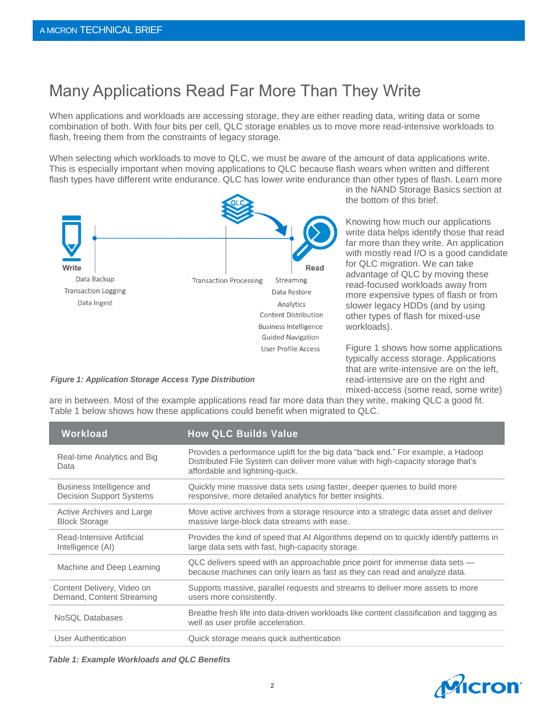## Many Applications Read Far More Than They Write

When applications and workloads are accessing storage, they are either reading data, writing data or some combination of both. With four bits per cell, QLC storage enables us to move more read-intensive workloads to flash, freeing them from the constraints of legacy storage.

When selecting which workloads to move to QLC, we must be aware of the amount of data applications write. This is especially important when moving applications to QLC because flash wears when written and different flash types have different write endurance. QLC has lower write endurance than other types of flash. Learn more



in the NAND Storage Basics section at the bottom of this brief.

Knowing how much our applications write data helps identify those that read far more than they write. An application with mostly read I/O is a good candidate for QLC migration. We can take advantage of QLC by moving these read-focused workloads away from more expensive types of flash or from slower legacy HDDs (and by using other types of flash for mixed-use workloads).

Figure 1 shows how some applications typically access storage. Applications that are write-intensive are on the left, read-intensive are on the right and mixed-access (some read, some write)

#### *Figure 1: Application Storage Access Type Distribution*

are in between. Most of the example applications read far more data than they write, making QLC a good fit. Table 1 below shows how these applications could benefit when migrated to QLC.

| Workload                                                     | <b>How QLC Builds Value</b>                                                                                                                                                                             |
|--------------------------------------------------------------|---------------------------------------------------------------------------------------------------------------------------------------------------------------------------------------------------------|
| Real-time Analytics and Big<br>Data                          | Provides a performance uplift for the big data "back end." For example, a Hadoop<br>Distributed File System can deliver more value with high-capacity storage that's<br>affordable and lightning-quick. |
| Business Intelligence and<br><b>Decision Support Systems</b> | Quickly mine massive data sets using faster, deeper queries to build more<br>responsive, more detailed analytics for better insights.                                                                   |
| Active Archives and Large<br><b>Block Storage</b>            | Move active archives from a storage resource into a strategic data asset and deliver<br>massive large-block data streams with ease.                                                                     |
| Read-Intensive Artificial<br>Intelligence (AI)               | Provides the kind of speed that AI Algorithms depend on to quickly identify patterns in<br>large data sets with fast, high-capacity storage.                                                            |
| Machine and Deep Learning                                    | QLC delivers speed with an approachable price point for immense data sets —<br>because machines can only learn as fast as they can read and analyze data.                                               |
| Content Delivery, Video on<br>Demand, Content Streaming      | Supports massive, parallel requests and streams to deliver more assets to more<br>users more consistently.                                                                                              |
| NoSQL Databases                                              | Breathe fresh life into data-driven workloads like content classification and tagging as<br>well as user profile acceleration.                                                                          |
| User Authentication                                          | Quick storage means quick authentication                                                                                                                                                                |

*Table 1: Example Workloads and QLC Benefits*

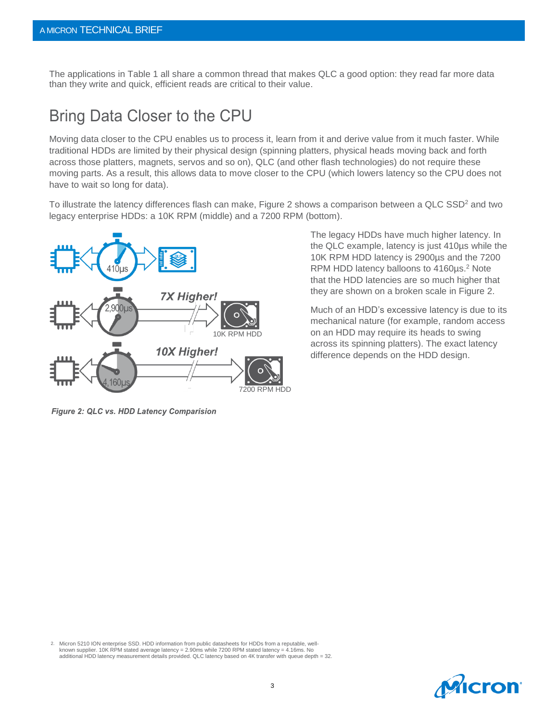The applications in Table 1 all share a common thread that makes QLC a good option: they read far more data than they write and quick, efficient reads are critical to their value.

### Bring Data Closer to the CPU

Moving data closer to the CPU enables us to process it, learn from it and derive value from it much faster. While traditional HDDs are limited by their physical design (spinning platters, physical heads moving back and forth across those platters, magnets, servos and so on), QLC (and other flash technologies) do not require these moving parts. As a result, this allows data to move closer to the CPU (which lowers latency so the CPU does not have to wait so long for data).

To illustrate the latency differences flash can make, Figure 2 shows a comparison between a QLC SSD<sup>2</sup> and two legacy enterprise HDDs: a 10K RPM (middle) and a 7200 RPM (bottom).



Figure 2: QLC vs. HDD Latency Comparision

2. Micron 5210 ION enterprise SSD. HDD information from public datasheets for HDDs from a reputable, wellknown supplier. 10K RPM stated average latency = 2.90ms while 7200 RPM stated latency = 4.16ms. No additional HDD latency measurement details provided. QLC latency based on 4K transfer with queue depth = 32.

The legacy HDDs have much higher latency. In the QLC example, latency is just 410µs while the 10K RPM HDD latency is 2900µs and the 7200 RPM HDD latency balloons to 4160µs.<sup>2</sup> Note that the HDD latencies are so much higher that they are shown on a broken scale in Figure 2.

Much of an HDD's excessive latency is due to its mechanical nature (for example, random access on an HDD may require its heads to swing across its spinning platters). The exact latency difference depends on the HDD design.

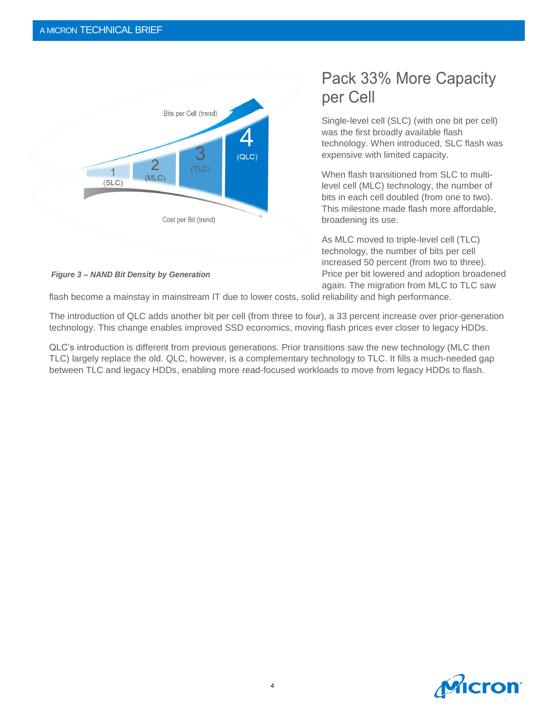

#### *Figure 3 – NAND Bit Density by Generation*

## Pack 33% More Capacity per Cell

Single-level cell (SLC) (with one bit per cell) was the first broadly available flash technology. When introduced, SLC flash was expensive with limited capacity.

When flash transitioned from SLC to multilevel cell (MLC) technology, the number of bits in each cell doubled (from one to two). This milestone made flash more affordable, broadening its use.

As MLC moved to triple-level cell (TLC) technology, the number of bits per cell increased 50 percent (from two to three). Price per bit lowered and adoption broadened again. The migration from MLC to TLC saw

flash become a mainstay in mainstream IT due to lower costs, solid reliability and high performance.

The introduction of QLC adds another bit per cell (from three to four), a 33 percent increase over prior-generation technology. This change enables improved SSD economics, moving flash prices ever closer to legacy HDDs.

QLC's introduction is different from previous generations. Prior transitions saw the new technology (MLC then TLC) largely replace the old. QLC, however, is a complementary technology to TLC. It fills a much-needed gap between TLC and legacy HDDs, enabling more read-focused workloads to move from legacy HDDs to flash.

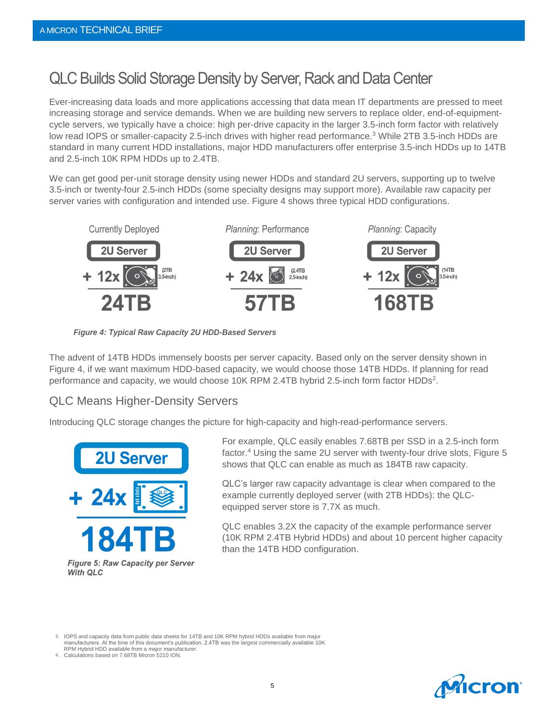## QLC Builds Solid Storage Density by Server, Rack and Data Center

Ever-increasing data loads and more applications accessing that data mean IT departments are pressed to meet increasing storage and service demands. When we are building new servers to replace older, end-of-equipmentcycle servers, we typically have a choice: high per-drive capacity in the larger 3.5-inch form factor with relatively low read IOPS or smaller-capacity 2.5-inch drives with higher read performance.<sup>3</sup> While 2TB 3.5-inch HDDs are standard in many current HDD installations, major HDD manufacturers offer enterprise 3.5-inch HDDs up to 14TB and 2.5-inch 10K RPM HDDs up to 2.4TB.

We can get good per-unit storage density using newer HDDs and standard 2U servers, supporting up to twelve 3.5-inch or twenty-four 2.5-inch HDDs (some specialty designs may support more). Available raw capacity per server varies with configuration and intended use. Figure 4 shows three typical HDD configurations.



*Figure 4: Typical Raw Capacity 2U HDD-Based Servers*

The advent of 14TB HDDs immensely boosts per server capacity. Based only on the server density shown in Figure 4, if we want maximum HDD-based capacity, we would choose those 14TB HDDs. If planning for read performance and capacity, we would choose 10K RPM 2.4TB hybrid 2.5-inch form factor HDDs<sup>2</sup>.

#### QLC Means Higher-Density Servers

Introducing QLC storage changes the picture for high-capacity and high-read-performance servers.



**Figure 5: Raw Capacity per Server With QLC** 

For example, QLC easily enables 7.68TB per SSD in a 2.5-inch form factor.<sup>4</sup> Using the same 2U server with twenty-four drive slots, Figure 5 shows that QLC can enable as much as 184TB raw capacity.

QLC's larger raw capacity advantage is clear when compared to the example currently deployed server (with 2TB HDDs): the QLCequipped server store is 7.7X as much.

QLC enables 3.2X the capacity of the example performance server (10K RPM 2.4TB Hybrid HDDs) and about 10 percent higher capacity than the 14TB HDD configuration.

3. IOPS and capacity data from public data sheets for 14TB and 10K RPM hybrid HDDs available from major manufacturers. At the time of this document's publication, 2.4TB was the largest commercially available 10K

RPM Hybrid HDD available from a major manufacturer. 4. Calculations based on 7.68TB Micron 5210 ION.

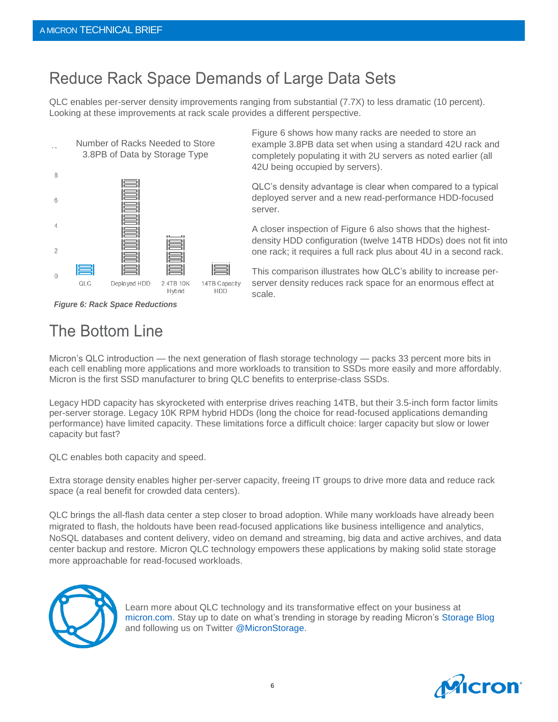## Reduce Rack Space Demands of Large Data Sets

QLC enables per-server density improvements ranging from substantial (7.7X) to less dramatic (10 percent). Looking at these improvements at rack scale provides a different perspective.



*Figure 6: Rack Space Reductions*

## The Bottom Line

Figure 6 shows how many racks are needed to store an example 3.8PB data set when using a standard 42U rack and completely populating it with 2U servers as noted earlier (all 42U being occupied by servers).

QLC's density advantage is clear when compared to a typical deployed server and a new read-performance HDD-focused server.

A closer inspection of Figure 6 also shows that the highestdensity HDD configuration (twelve 14TB HDDs) does not fit into one rack; it requires a full rack plus about 4U in a second rack.

This comparison illustrates how QLC's ability to increase perserver density reduces rack space for an enormous effect at scale.

Micron's QLC introduction — the next generation of flash storage technology — packs 33 percent more bits in each cell enabling more applications and more workloads to transition to SSDs more easily and more affordably. Micron is the first SSD manufacturer to bring QLC benefits to enterprise-class SSDs.

Legacy HDD capacity has skyrocketed with enterprise drives reaching 14TB, but their 3.5-inch form factor limits per-server storage. Legacy 10K RPM hybrid HDDs (long the choice for read-focused applications demanding performance) have limited capacity. These limitations force a difficult choice: larger capacity but slow or lower capacity but fast?

QLC enables both capacity and speed.

Extra storage density enables higher per-server capacity, freeing IT groups to drive more data and reduce rack space (a real benefit for crowded data centers).

QLC brings the all-flash data center a step closer to broad adoption. While many workloads have already been migrated to flash, the holdouts have been read-focused applications like business intelligence and analytics, NoSQL databases and content delivery, video on demand and streaming, big data and active archives, and data center backup and restore. Micron QLC technology empowers these applications by making solid state storage more approachable for read-focused workloads.



Learn more about QLC technology and its transformative effect on your business at [micron.com.](http://www.micron.com/) Stay up to date on what's trending in storage by reading Micron's [Storage Blog](https://www.micron.com/about/blogs/channels/storage) and following us on Twitter [@MicronStorage.](https://twitter.com/MicronStorage)